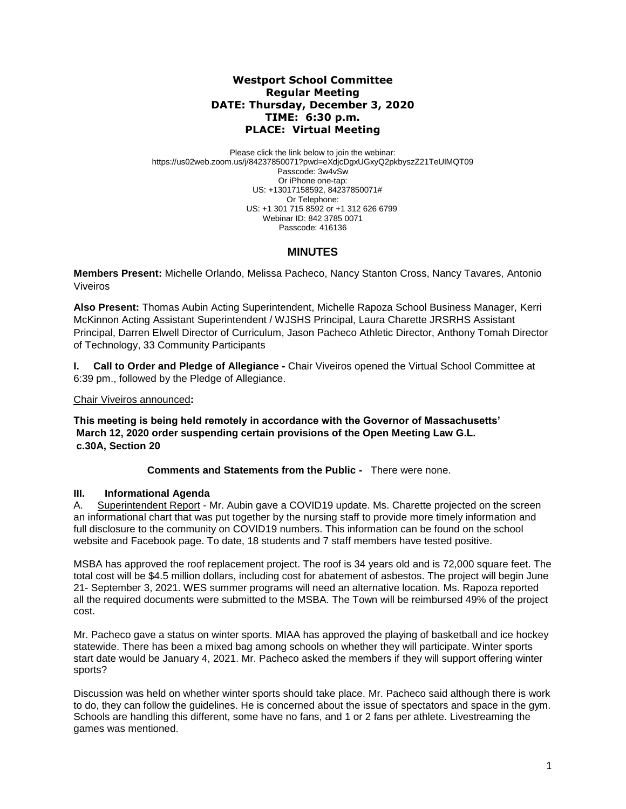## **Westport School Committee Regular Meeting DATE: Thursday, December 3, 2020 TIME: 6:30 p.m. PLACE: Virtual Meeting**

Please click the link below to join the webinar: https://us02web.zoom.us/j/84237850071?pwd=eXdjcDgxUGxyQ2pkbyszZ21TeUlMQT09 Passcode: 3w4vSw Or iPhone one-tap: US: +13017158592, 84237850071# Or Telephone: US: +1 301 715 8592 or +1 312 626 6799 Webinar ID: 842 3785 0071 Passcode: 416136

# **MINUTES**

**Members Present:** Michelle Orlando, Melissa Pacheco, Nancy Stanton Cross, Nancy Tavares*,* Antonio Viveiros

**Also Present:** Thomas Aubin Acting Superintendent, Michelle Rapoza School Business Manager, Kerri McKinnon Acting Assistant Superintendent / WJSHS Principal, Laura Charette JRSRHS Assistant Principal, Darren Elwell Director of Curriculum, Jason Pacheco Athletic Director, Anthony Tomah Director of Technology, 33 Community Participants

**I. Call to Order and Pledge of Allegiance -** Chair Viveiros opened the Virtual School Committee at 6:39 pm., followed by the Pledge of Allegiance.

Chair Viveiros announced**:** 

**This meeting is being held remotely in accordance with the Governor of Massachusetts' March 12, 2020 order suspending certain provisions of the Open Meeting Law G.L. c.30A, Section 20**

**Comments and Statements from the Public -** There were none.

### **III. Informational Agenda**

A. Superintendent Report - Mr. Aubin gave a COVID19 update. Ms. Charette projected on the screen an informational chart that was put together by the nursing staff to provide more timely information and full disclosure to the community on COVID19 numbers. This information can be found on the school website and Facebook page. To date, 18 students and 7 staff members have tested positive.

MSBA has approved the roof replacement project. The roof is 34 years old and is 72,000 square feet. The total cost will be \$4.5 million dollars, including cost for abatement of asbestos. The project will begin June 21- September 3, 2021. WES summer programs will need an alternative location. Ms. Rapoza reported all the required documents were submitted to the MSBA. The Town will be reimbursed 49% of the project cost.

Mr. Pacheco gave a status on winter sports. MIAA has approved the playing of basketball and ice hockey statewide. There has been a mixed bag among schools on whether they will participate. Winter sports start date would be January 4, 2021. Mr. Pacheco asked the members if they will support offering winter sports?

Discussion was held on whether winter sports should take place. Mr. Pacheco said although there is work to do, they can follow the guidelines. He is concerned about the issue of spectators and space in the gym. Schools are handling this different, some have no fans, and 1 or 2 fans per athlete. Livestreaming the games was mentioned.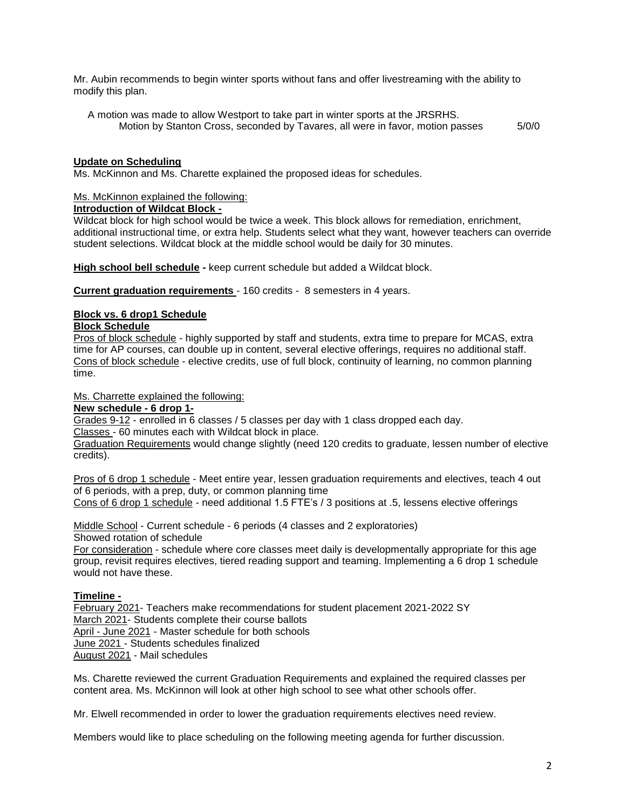Mr. Aubin recommends to begin winter sports without fans and offer livestreaming with the ability to modify this plan.

 A motion was made to allow Westport to take part in winter sports at the JRSRHS. Motion by Stanton Cross, seconded by Tavares, all were in favor, motion passes  $5/0/0$ 

### **Update on Scheduling**

Ms. McKinnon and Ms. Charette explained the proposed ideas for schedules.

### Ms. McKinnon explained the following:

### **Introduction of Wildcat Block -**

Wildcat block for high school would be twice a week. This block allows for remediation, enrichment, additional instructional time, or extra help. Students select what they want, however teachers can override student selections. Wildcat block at the middle school would be daily for 30 minutes.

**High school bell schedule -** keep current schedule but added a Wildcat block.

**Current graduation requirements** - 160 credits - 8 semesters in 4 years.

## **Block vs. 6 drop1 Schedule**

## **Block Schedule**

Pros of block schedule - highly supported by staff and students, extra time to prepare for MCAS, extra time for AP courses, can double up in content, several elective offerings, requires no additional staff. Cons of block schedule - elective credits, use of full block, continuity of learning, no common planning time.

### Ms. Charrette explained the following:

### **New schedule - 6 drop 1-**

Grades 9-12 - enrolled in 6 classes / 5 classes per day with 1 class dropped each day. Classes - 60 minutes each with Wildcat block in place.

Graduation Requirements would change slightly (need 120 credits to graduate, lessen number of elective credits).

Pros of 6 drop 1 schedule - Meet entire year, lessen graduation requirements and electives, teach 4 out of 6 periods, with a prep, duty, or common planning time Cons of 6 drop 1 schedule - need additional 1.5 FTE's / 3 positions at .5, lessens elective offerings

Middle School - Current schedule - 6 periods (4 classes and 2 exploratories) Showed rotation of schedule

For consideration - schedule where core classes meet daily is developmentally appropriate for this age group, revisit requires electives, tiered reading support and teaming. Implementing a 6 drop 1 schedule would not have these.

### **Timeline -**

February 2021- Teachers make recommendations for student placement 2021-2022 SY March 2021- Students complete their course ballots April - June 2021 - Master schedule for both schools June 2021 - Students schedules finalized August 2021 - Mail schedules

Ms. Charette reviewed the current Graduation Requirements and explained the required classes per content area. Ms. McKinnon will look at other high school to see what other schools offer.

Mr. Elwell recommended in order to lower the graduation requirements electives need review.

Members would like to place scheduling on the following meeting agenda for further discussion.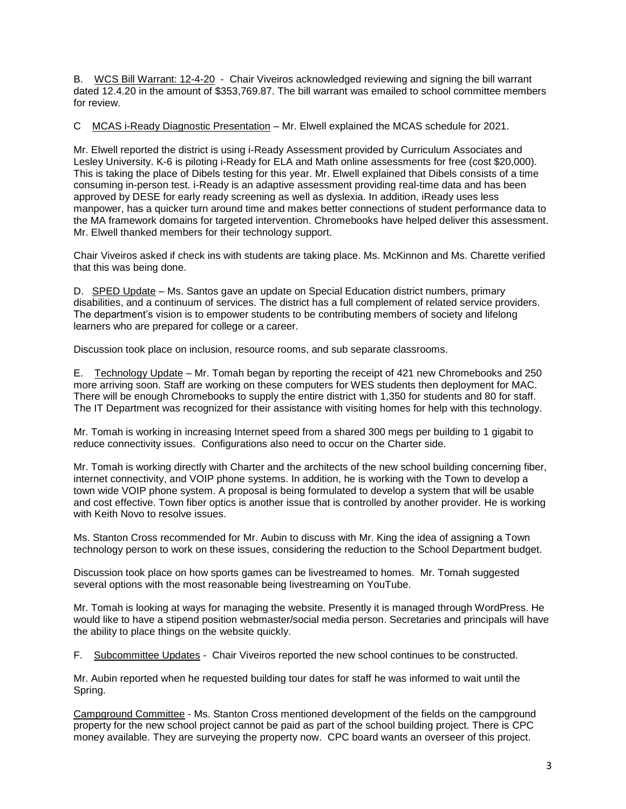B. WCS Bill Warrant: 12-4-20 - Chair Viveiros acknowledged reviewing and signing the bill warrant dated 12.4.20 in the amount of \$353,769.87. The bill warrant was emailed to school committee members for review.

C MCAS i-Ready Diagnostic Presentation – Mr. Elwell explained the MCAS schedule for 2021.

Mr. Elwell reported the district is using i-Ready Assessment provided by Curriculum Associates and Lesley University. K-6 is piloting i-Ready for ELA and Math online assessments for free (cost \$20,000). This is taking the place of Dibels testing for this year. Mr. Elwell explained that Dibels consists of a time consuming in-person test. i-Ready is an adaptive assessment providing real-time data and has been approved by DESE for early ready screening as well as dyslexia. In addition, iReady uses less manpower, has a quicker turn around time and makes better connections of student performance data to the MA framework domains for targeted intervention. Chromebooks have helped deliver this assessment. Mr. Elwell thanked members for their technology support.

Chair Viveiros asked if check ins with students are taking place. Ms. McKinnon and Ms. Charette verified that this was being done.

D. SPED Update – Ms. Santos gave an update on Special Education district numbers, primary disabilities, and a continuum of services. The district has a full complement of related service providers. The department's vision is to empower students to be contributing members of society and lifelong learners who are prepared for college or a career.

Discussion took place on inclusion, resource rooms, and sub separate classrooms.

E. Technology Update – Mr. Tomah began by reporting the receipt of 421 new Chromebooks and 250 more arriving soon. Staff are working on these computers for WES students then deployment for MAC. There will be enough Chromebooks to supply the entire district with 1,350 for students and 80 for staff. The IT Department was recognized for their assistance with visiting homes for help with this technology.

Mr. Tomah is working in increasing Internet speed from a shared 300 megs per building to 1 gigabit to reduce connectivity issues. Configurations also need to occur on the Charter side.

Mr. Tomah is working directly with Charter and the architects of the new school building concerning fiber, internet connectivity, and VOIP phone systems. In addition, he is working with the Town to develop a town wide VOIP phone system. A proposal is being formulated to develop a system that will be usable and cost effective. Town fiber optics is another issue that is controlled by another provider. He is working with Keith Novo to resolve issues.

Ms. Stanton Cross recommended for Mr. Aubin to discuss with Mr. King the idea of assigning a Town technology person to work on these issues, considering the reduction to the School Department budget.

Discussion took place on how sports games can be livestreamed to homes. Mr. Tomah suggested several options with the most reasonable being livestreaming on YouTube.

Mr. Tomah is looking at ways for managing the website. Presently it is managed through WordPress. He would like to have a stipend position webmaster/social media person. Secretaries and principals will have the ability to place things on the website quickly.

F. Subcommittee Updates - Chair Viveiros reported the new school continues to be constructed.

Mr. Aubin reported when he requested building tour dates for staff he was informed to wait until the Spring.

Campground Committee - Ms. Stanton Cross mentioned development of the fields on the campground property for the new school project cannot be paid as part of the school building project. There is CPC money available. They are surveying the property now. CPC board wants an overseer of this project.